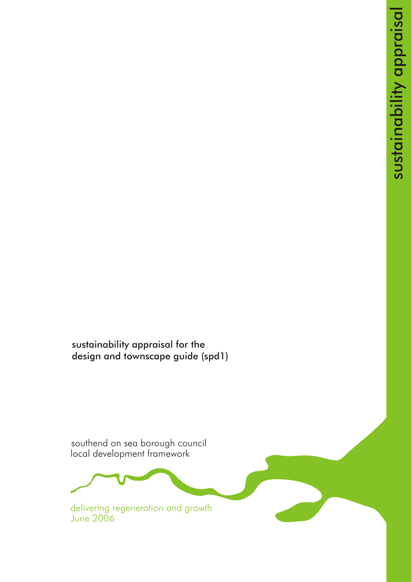sustainability appraisal for the design and townscape guide (spd1)

southend on sea borough council local development framework

delivering regeneration and growth June 2006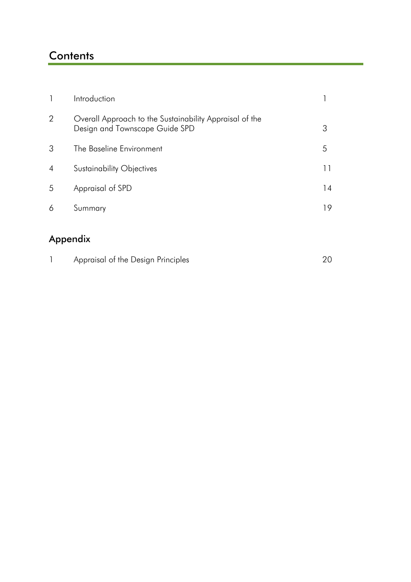# **Contents**

|                | Introduction                                                                              |    |  |  |  |  |  |  |  |  |
|----------------|-------------------------------------------------------------------------------------------|----|--|--|--|--|--|--|--|--|
| $\overline{2}$ | Overall Approach to the Sustainability Appraisal of the<br>Design and Townscape Guide SPD | 3  |  |  |  |  |  |  |  |  |
| 3              | The Baseline Environment                                                                  | 5  |  |  |  |  |  |  |  |  |
| $\overline{A}$ | <b>Sustainability Objectives</b>                                                          | 11 |  |  |  |  |  |  |  |  |
| 5              | Appraisal of SPD                                                                          | 14 |  |  |  |  |  |  |  |  |
| 6              | 19<br>Summary                                                                             |    |  |  |  |  |  |  |  |  |
| Appendix       |                                                                                           |    |  |  |  |  |  |  |  |  |

| Appraisal of the Design Principles |  |
|------------------------------------|--|
|                                    |  |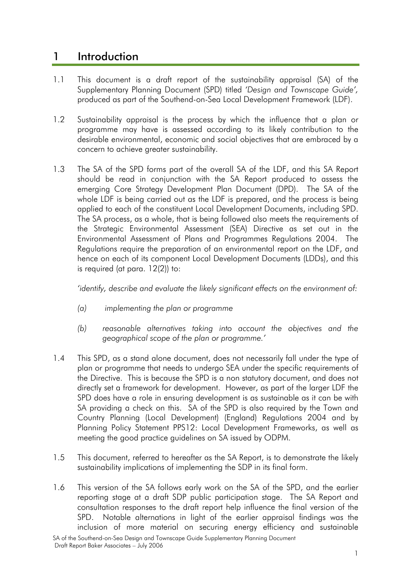## 1 Introduction

- 1.1 This document is a draft report of the sustainability appraisal (SA) of the Supplementary Planning Document (SPD) titled *'Design and Townscape Guide',* produced as part of the Southend-on-Sea Local Development Framework (LDF).
- 1.2 Sustainability appraisal is the process by which the influence that a plan or programme may have is assessed according to its likely contribution to the desirable environmental, economic and social objectives that are embraced by a concern to achieve greater sustainability.
- 1.3 The SA of the SPD forms part of the overall SA of the LDF, and this SA Report should be read in conjunction with the SA Report produced to assess the emerging Core Strategy Development Plan Document (DPD). The SA of the whole LDF is being carried out as the LDF is prepared, and the process is being applied to each of the constituent Local Development Documents, including SPD. The SA process, as a whole, that is being followed also meets the requirements of the Strategic Environmental Assessment (SEA) Directive as set out in the Environmental Assessment of Plans and Programmes Regulations 2004. The Regulations require the preparation of an environmental report on the LDF, and hence on each of its component Local Development Documents (LDDs), and this is required (at para. 12(2)) to:

*'identify, describe and evaluate the likely significant effects on the environment of:* 

- *(a) implementing the plan or programme*
- *(b) reasonable alternatives taking into account the objectives and the geographical scope of the plan or programme.'*
- 1.4 This SPD, as a stand alone document, does not necessarily fall under the type of plan or programme that needs to undergo SEA under the specific requirements of the Directive. This is because the SPD is a non statutory document, and does not directly set a framework for development. However, as part of the larger LDF the SPD does have a role in ensuring development is as sustainable as it can be with SA providing a check on this. SA of the SPD is also required by the Town and Country Planning (Local Development) (England) Regulations 2004 and by Planning Policy Statement PPS12: Local Development Frameworks, as well as meeting the good practice guidelines on SA issued by ODPM.
- 1.5 This document, referred to hereafter as the SA Report, is to demonstrate the likely sustainability implications of implementing the SDP in its final form.
- 1.6 This version of the SA follows early work on the SA of the SPD, and the earlier reporting stage at a draft SDP public participation stage. The SA Report and consultation responses to the draft report help influence the final version of the SPD. Notable alternations in light of the earlier appraisal findings was the inclusion of more material on securing energy efficiency and sustainable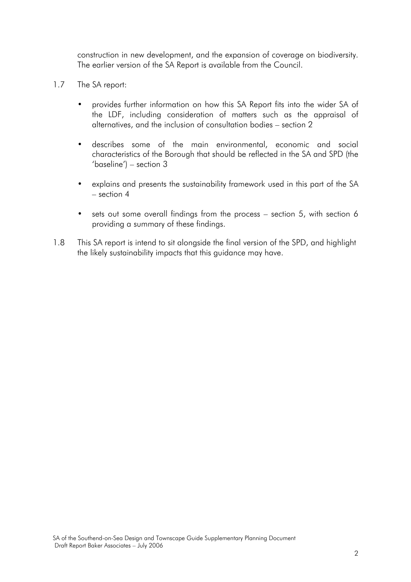construction in new development, and the expansion of coverage on biodiversity. The earlier version of the SA Report is available from the Council.

- 1.7 The SA report:
	- provides further information on how this SA Report fits into the wider SA of the LDF, including consideration of matters such as the appraisal of alternatives, and the inclusion of consultation bodies – section 2
	- describes some of the main environmental, economic and social characteristics of the Borough that should be reflected in the SA and SPD (the 'baseline') – section 3
	- explains and presents the sustainability framework used in this part of the SA – section 4
	- sets out some overall findings from the process section 5, with section 6 providing a summary of these findings.
- 1.8 This SA report is intend to sit alongside the final version of the SPD, and highlight the likely sustainability impacts that this guidance may have.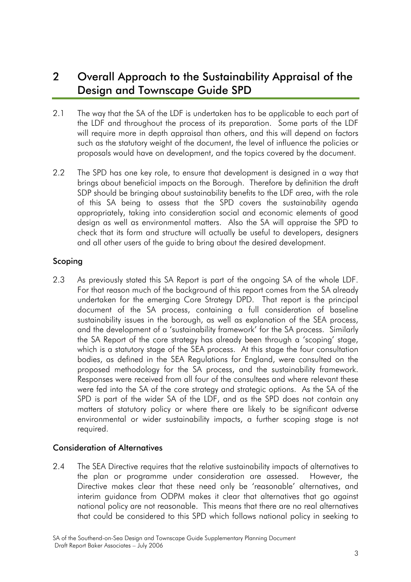# 2 Overall Approach to the Sustainability Appraisal of the Design and Townscape Guide SPD

- 2.1 The way that the SA of the LDF is undertaken has to be applicable to each part of the LDF and throughout the process of its preparation. Some parts of the LDF will require more in depth appraisal than others, and this will depend on factors such as the statutory weight of the document, the level of influence the policies or proposals would have on development, and the topics covered by the document.
- 2.2 The SPD has one key role, to ensure that development is designed in a way that brings about beneficial impacts on the Borough. Therefore by definition the draft SDP should be bringing about sustainability benefits to the LDF area, with the role of this SA being to assess that the SPD covers the sustainability agenda appropriately, taking into consideration social and economic elements of good design as well as environmental matters. Also the SA will appraise the SPD to check that its form and structure will actually be useful to developers, designers and all other users of the guide to bring about the desired development.

#### Scoping

2.3 As previously stated this SA Report is part of the ongoing SA of the whole LDF. For that reason much of the background of this report comes from the SA already undertaken for the emerging Core Strategy DPD. That report is the principal document of the SA process, containing a full consideration of baseline sustainability issues in the borough, as well as explanation of the SEA process, and the development of a 'sustainability framework' for the SA process. Similarly the SA Report of the core strategy has already been through a 'scoping' stage, which is a statutory stage of the SEA process. At this stage the four consultation bodies, as defined in the SEA Regulations for England, were consulted on the proposed methodology for the SA process, and the sustainability framework. Responses were received from all four of the consultees and where relevant these were fed into the SA of the core strategy and strategic options. As the SA of the SPD is part of the wider SA of the LDF, and as the SPD does not contain any matters of statutory policy or where there are likely to be significant adverse environmental or wider sustainability impacts, a further scoping stage is not required.

#### Consideration of Alternatives

2.4 The SEA Directive requires that the relative sustainability impacts of alternatives to the plan or programme under consideration are assessed. However, the Directive makes clear that these need only be 'reasonable' alternatives, and interim guidance from ODPM makes it clear that alternatives that go against national policy are not reasonable. This means that there are no real alternatives that could be considered to this SPD which follows national policy in seeking to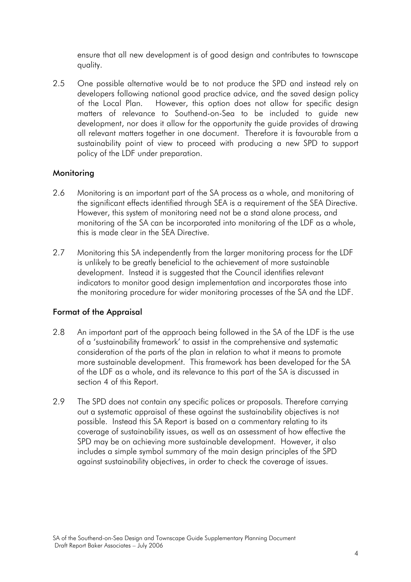ensure that all new development is of good design and contributes to townscape quality.

2.5 One possible alternative would be to not produce the SPD and instead rely on developers following national good practice advice, and the saved design policy of the Local Plan. However, this option does not allow for specific design matters of relevance to Southend-on-Sea to be included to guide new development, nor does it allow for the opportunity the guide provides of drawing all relevant matters together in one document. Therefore it is favourable from a sustainability point of view to proceed with producing a new SPD to support policy of the LDF under preparation.

#### Monitoring

- 2.6 Monitoring is an important part of the SA process as a whole, and monitoring of the significant effects identified through SEA is a requirement of the SEA Directive. However, this system of monitoring need not be a stand alone process, and monitoring of the SA can be incorporated into monitoring of the LDF as a whole, this is made clear in the SEA Directive.
- 2.7 Monitoring this SA independently from the larger monitoring process for the LDF is unlikely to be greatly beneficial to the achievement of more sustainable development. Instead it is suggested that the Council identifies relevant indicators to monitor good design implementation and incorporates those into the monitoring procedure for wider monitoring processes of the SA and the LDF.

#### Format of the Appraisal

- 2.8 An important part of the approach being followed in the SA of the LDF is the use of a 'sustainability framework' to assist in the comprehensive and systematic consideration of the parts of the plan in relation to what it means to promote more sustainable development. This framework has been developed for the SA of the LDF as a whole, and its relevance to this part of the SA is discussed in section 4 of this Report.
- 2.9 The SPD does not contain any specific polices or proposals. Therefore carrying out a systematic appraisal of these against the sustainability objectives is not possible. Instead this SA Report is based on a commentary relating to its coverage of sustainability issues, as well as an assessment of how effective the SPD may be on achieving more sustainable development. However, it also includes a simple symbol summary of the main design principles of the SPD against sustainability objectives, in order to check the coverage of issues.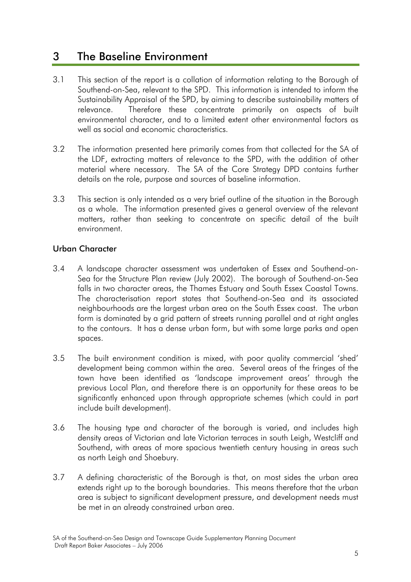## 3 The Baseline Environment

- 3.1 This section of the report is a collation of information relating to the Borough of Southend-on-Sea, relevant to the SPD. This information is intended to inform the Sustainability Appraisal of the SPD, by aiming to describe sustainability matters of relevance. Therefore these concentrate primarily on aspects of built environmental character, and to a limited extent other environmental factors as well as social and economic characteristics.
- 3.2 The information presented here primarily comes from that collected for the SA of the LDF, extracting matters of relevance to the SPD, with the addition of other material where necessary. The SA of the Core Strategy DPD contains further details on the role, purpose and sources of baseline information.
- 3.3 This section is only intended as a very brief outline of the situation in the Borough as a whole. The information presented gives a general overview of the relevant matters, rather than seeking to concentrate on specific detail of the built environment.

### Urban Character

- 3.4 A landscape character assessment was undertaken of Essex and Southend-on-Sea for the Structure Plan review (July 2002). The borough of Southend-on-Sea falls in two character areas, the Thames Estuary and South Essex Coastal Towns. The characterisation report states that Southend-on-Sea and its associated neighbourhoods are the largest urban area on the South Essex coast. The urban form is dominated by a grid pattern of streets running parallel and at right angles to the contours. It has a dense urban form, but with some large parks and open spaces.
- 3.5 The built environment condition is mixed, with poor quality commercial 'shed' development being common within the area. Several areas of the fringes of the town have been identified as 'landscape improvement areas' through the previous Local Plan, and therefore there is an opportunity for these areas to be significantly enhanced upon through appropriate schemes (which could in part include built development).
- 3.6 The housing type and character of the borough is varied, and includes high density areas of Victorian and late Victorian terraces in south Leigh, Westcliff and Southend, with areas of more spacious twentieth century housing in areas such as north Leigh and Shoebury.
- 3.7 A defining characteristic of the Borough is that, on most sides the urban area extends right up to the borough boundaries. This means therefore that the urban area is subject to significant development pressure, and development needs must be met in an already constrained urban area.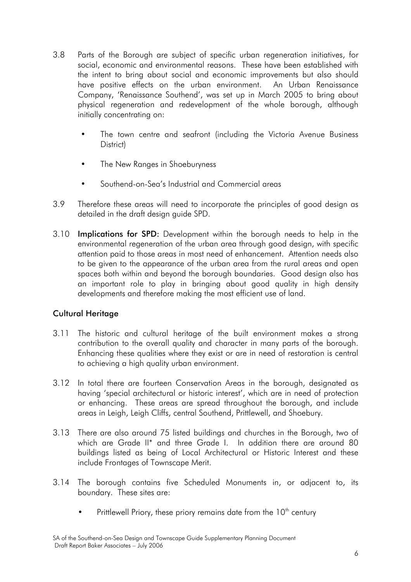- 3.8 Parts of the Borough are subject of specific urban regeneration initiatives, for social, economic and environmental reasons. These have been established with the intent to bring about social and economic improvements but also should have positive effects on the urban environment. An Urban Renaissance Company, 'Renaissance Southend', was set up in March 2005 to bring about physical regeneration and redevelopment of the whole borough, although initially concentrating on:
	- The town centre and seafront (including the Victoria Avenue Business District)
	- The New Ranges in Shoeburyness
	- Southend-on-Sea's Industrial and Commercial areas
- 3.9 Therefore these areas will need to incorporate the principles of good design as detailed in the draft design guide SPD.
- 3.10 Implications for SPD: Development within the borough needs to help in the environmental regeneration of the urban area through good design, with specific attention paid to those areas in most need of enhancement. Attention needs also to be given to the appearance of the urban area from the rural areas and open spaces both within and beyond the borough boundaries. Good design also has an important role to play in bringing about good quality in high density developments and therefore making the most efficient use of land.

#### Cultural Heritage

- 3.11 The historic and cultural heritage of the built environment makes a strong contribution to the overall quality and character in many parts of the borough. Enhancing these qualities where they exist or are in need of restoration is central to achieving a high quality urban environment.
- 3.12 In total there are fourteen Conservation Areas in the borough, designated as having 'special architectural or historic interest', which are in need of protection or enhancing. These areas are spread throughout the borough, and include areas in Leigh, Leigh Cliffs, central Southend, Prittlewell, and Shoebury.
- 3.13 There are also around 75 listed buildings and churches in the Borough, two of which are Grade II\* and three Grade I. In addition there are around 80 buildings listed as being of Local Architectural or Historic Interest and these include Frontages of Townscape Merit.
- 3.14 The borough contains five Scheduled Monuments in, or adjacent to, its boundary. These sites are:
	- Prittlewell Priory, these priory remains date from the  $10<sup>th</sup>$  century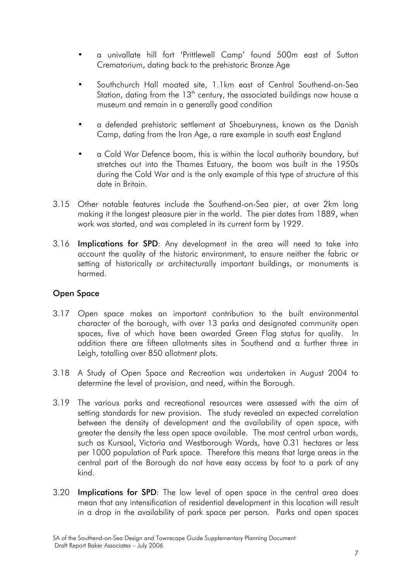- a univallate hill fort 'Prittlewell Camp' found 500m east of Sutton Crematorium, dating back to the prehistoric Bronze Age
- Southchurch Hall moated site, 1.1km east of Central Southend-on-Sea Station, dating from the  $13<sup>th</sup>$  century, the associated buildings now house a museum and remain in a generally good condition
- a defended prehistoric settlement at Shoeburyness, known as the Danish Camp, dating from the Iron Age, a rare example in south east England
- a Cold War Defence boom, this is within the local authority boundary, but stretches out into the Thames Estuary, the boom was built in the 1950s during the Cold War and is the only example of this type of structure of this date in Britain.
- 3.15 Other notable features include the Southend-on-Sea pier, at over 2km long making it the longest pleasure pier in the world. The pier dates from 1889, when work was started, and was completed in its current form by 1929.
- 3.16 Implications for SPD*:* Any development in the area will need to take into account the quality of the historic environment, to ensure neither the fabric or setting of historically or architecturally important buildings, or monuments is harmed.

#### Open Space

- 3.17 Open space makes an important contribution to the built environmental character of the borough, with over 13 parks and designated community open spaces, five of which have been awarded Green Flag status for quality. In addition there are fifteen allotments sites in Southend and a further three in Leigh, totalling over 850 allotment plots.
- 3.18 A Study of Open Space and Recreation was undertaken in August 2004 to determine the level of provision, and need, within the Borough.
- 3.19 The various parks and recreational resources were assessed with the aim of setting standards for new provision. The study revealed an expected correlation between the density of development and the availability of open space, with greater the density the less open space available. The most central urban wards, such as Kursaal, Victoria and Westborough Wards, have 0.31 hectares or less per 1000 population of Park space. Therefore this means that large areas in the central part of the Borough do not have easy access by foot to a park of any kind.
- 3.20 Implications for SPD*:* The low level of open space in the central area does mean that any intensification of residential development in this location will result in a drop in the availability of park space per person. Parks and open spaces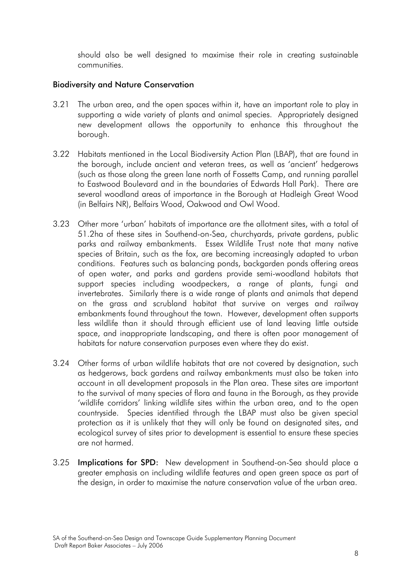should also be well designed to maximise their role in creating sustainable communities.

#### Biodiversity and Nature Conservation

- 3.21 The urban area, and the open spaces within it, have an important role to play in supporting a wide variety of plants and animal species. Appropriately designed new development allows the opportunity to enhance this throughout the borough.
- 3.22 Habitats mentioned in the Local Biodiversity Action Plan (LBAP), that are found in the borough, include ancient and veteran trees, as well as 'ancient' hedgerows (such as those along the green lane north of Fossetts Camp, and running parallel to Eastwood Boulevard and in the boundaries of Edwards Hall Park). There are several woodland areas of importance in the Borough at Hadleigh Great Wood (in Belfairs NR), Belfairs Wood, Oakwood and Owl Wood.
- 3.23 Other more 'urban' habitats of importance are the allotment sites, with a total of 51.2ha of these sites in Southend-on-Sea, churchyards, private gardens, public parks and railway embankments. Essex Wildlife Trust note that many native species of Britain, such as the fox, are becoming increasingly adapted to urban conditions. Features such as balancing ponds, backgarden ponds offering areas of open water, and parks and gardens provide semi-woodland habitats that support species including woodpeckers, a range of plants, fungi and invertebrates. Similarly there is a wide range of plants and animals that depend on the grass and scrubland habitat that survive on verges and railway embankments found throughout the town. However, development often supports less wildlife than it should through efficient use of land leaving little outside space, and inappropriate landscaping, and there is often poor management of habitats for nature conservation purposes even where they do exist.
- 3.24 Other forms of urban wildlife habitats that are not covered by designation, such as hedgerows, back gardens and railway embankments must also be taken into account in all development proposals in the Plan area. These sites are important to the survival of many species of flora and fauna in the Borough, as they provide 'wildlife corridors' linking wildlife sites within the urban area, and to the open countryside. Species identified through the LBAP must also be given special protection as it is unlikely that they will only be found on designated sites, and ecological survey of sites prior to development is essential to ensure these species are not harmed.
- 3.25 Implications for SPD: New development in Southend-on-Sea should place a greater emphasis on including wildlife features and open green space as part of the design, in order to maximise the nature conservation value of the urban area.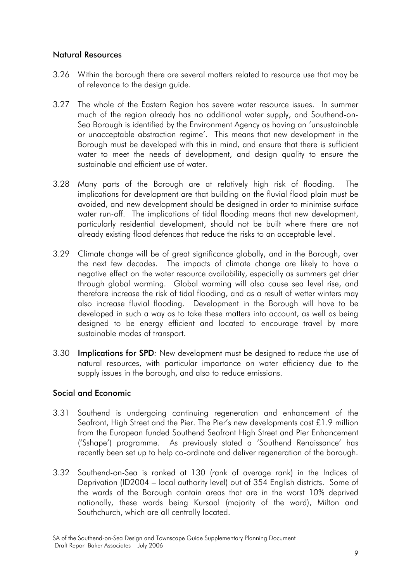#### Natural Resources

- 3.26 Within the borough there are several matters related to resource use that may be of relevance to the design guide.
- 3.27 The whole of the Eastern Region has severe water resource issues. In summer much of the region already has no additional water supply, and Southend-on-Sea Borough is identified by the Environment Agency as having an 'unsustainable or unacceptable abstraction regime'. This means that new development in the Borough must be developed with this in mind, and ensure that there is sufficient water to meet the needs of development, and design quality to ensure the sustainable and efficient use of water.
- 3.28 Many parts of the Borough are at relatively high risk of flooding. The implications for development are that building on the fluvial flood plain must be avoided, and new development should be designed in order to minimise surface water run-off. The implications of tidal flooding means that new development, particularly residential development, should not be built where there are not already existing flood defences that reduce the risks to an acceptable level.
- 3.29 Climate change will be of great significance globally, and in the Borough, over the next few decades. The impacts of climate change are likely to have a negative effect on the water resource availability, especially as summers get drier through global warming. Global warming will also cause sea level rise, and therefore increase the risk of tidal flooding, and as a result of wetter winters may also increase fluvial flooding. Development in the Borough will have to be developed in such a way as to take these matters into account, as well as being designed to be energy efficient and located to encourage travel by more sustainable modes of transport.
- 3.30 Implications for SPD*:* New development must be designed to reduce the use of natural resources, with particular importance on water efficiency due to the supply issues in the borough, and also to reduce emissions.

#### Social and Economic

- 3.31 Southend is undergoing continuing regeneration and enhancement of the Seafront, High Street and the Pier. The Pier's new developments cost £1.9 million from the European funded Southend Seafront High Street and Pier Enhancement ('Sshape') programme. As previously stated a 'Southend Renaissance' has recently been set up to help co-ordinate and deliver regeneration of the borough.
- 3.32 Southend-on-Sea is ranked at 130 (rank of average rank) in the Indices of Deprivation (ID2004 – local authority level) out of 354 English districts. Some of the wards of the Borough contain areas that are in the worst 10% deprived nationally, these wards being Kursaal (majority of the ward), Milton and Southchurch, which are all centrally located.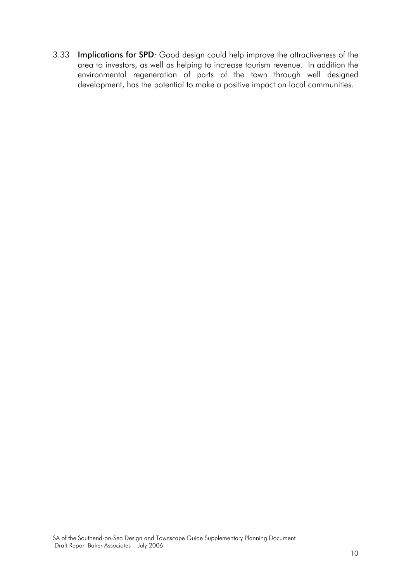3.33 Implications for SPD*:* Good design could help improve the attractiveness of the area to investors, as well as helping to increase tourism revenue. In addition the environmental regeneration of parts of the town through well designed development, has the potential to make a positive impact on local communities.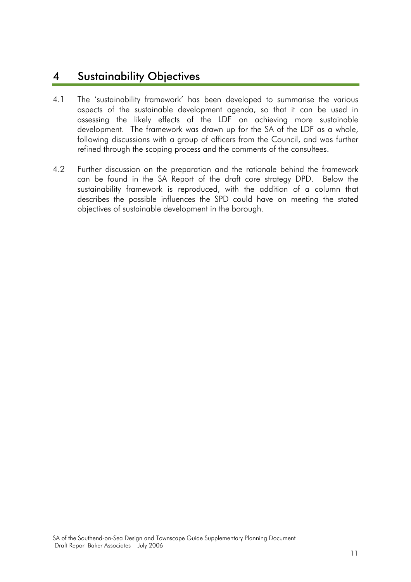## 4 Sustainability Objectives

- 4.1 The 'sustainability framework' has been developed to summarise the various aspects of the sustainable development agenda, so that it can be used in assessing the likely effects of the LDF on achieving more sustainable development. The framework was drawn up for the SA of the LDF as a whole, following discussions with a group of officers from the Council, and was further refined through the scoping process and the comments of the consultees.
- 4.2 Further discussion on the preparation and the rationale behind the framework can be found in the SA Report of the draft core strategy DPD. Below the sustainability framework is reproduced, with the addition of a column that describes the possible influences the SPD could have on meeting the stated objectives of sustainable development in the borough.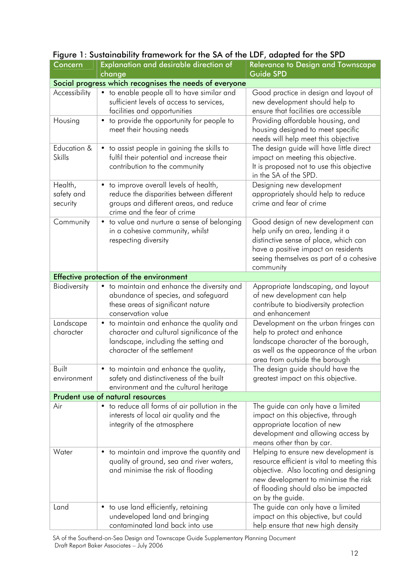| Concern                           | Explanation and desirable direction of<br>change                                                                                                               | <b>Relevance to Design and Townscape</b><br><b>Guide SPD</b>                                                                                                                                                                     |  |  |  |
|-----------------------------------|----------------------------------------------------------------------------------------------------------------------------------------------------------------|----------------------------------------------------------------------------------------------------------------------------------------------------------------------------------------------------------------------------------|--|--|--|
|                                   | Social progress which recognises the needs of everyone                                                                                                         |                                                                                                                                                                                                                                  |  |  |  |
| Accessibility                     | to enable people all to have similar and<br>$\bullet$<br>sufficient levels of access to services,<br>facilities and opportunities                              | Good practice in design and layout of<br>new development should help to<br>ensure that facilities are accessible                                                                                                                 |  |  |  |
| Housing                           | • to provide the opportunity for people to<br>meet their housing needs                                                                                         | Providing affordable housing, and<br>housing designed to meet specific<br>needs will help meet this objective                                                                                                                    |  |  |  |
| Education &<br>Skills             | to assist people in gaining the skills to<br>$\bullet$<br>fulfil their potential and increase their<br>contribution to the community                           | The design guide will have little direct<br>impact on meeting this objective.<br>It is proposed not to use this objective<br>in the SA of the SPD.                                                                               |  |  |  |
| Health,<br>safety and<br>security | to improve overall levels of health,<br>reduce the disparities between different<br>groups and different areas, and reduce<br>crime and the fear of crime      | Designing new development<br>appropriately should help to reduce<br>crime and fear of crime                                                                                                                                      |  |  |  |
| Community                         | to value and nurture a sense of belonging<br>٠<br>in a cohesive community, whilst<br>respecting diversity                                                      | Good design of new development can<br>help unify an area, lending it a<br>distinctive sense of place, which can<br>have a positive impact on residents<br>seeing themselves as part of a cohesive<br>community                   |  |  |  |
|                                   | Effective protection of the environment                                                                                                                        |                                                                                                                                                                                                                                  |  |  |  |
| Biodiversity                      | • to maintain and enhance the diversity and<br>abundance of species, and safeguard<br>these areas of significant nature<br>conservation value                  | Appropriate landscaping, and layout<br>of new development can help<br>contribute to biodiversity protection<br>and enhancement                                                                                                   |  |  |  |
| Landscape<br>character            | • to maintain and enhance the quality and<br>character and cultural significance of the<br>landscape, including the setting and<br>character of the settlement | Development on the urban fringes can<br>help to protect and enhance<br>landscape character of the borough,<br>as well as the appearance of the urban<br>area from outside the borough                                            |  |  |  |
| Built<br>environment              | to maintain and enhance the quality,<br>safety and distinctiveness of the built<br>environment and the cultural heritage                                       | The design guide should have the<br>greatest impact on this objective.                                                                                                                                                           |  |  |  |
|                                   | Prudent use of natural resources                                                                                                                               |                                                                                                                                                                                                                                  |  |  |  |
| Air                               | • to reduce all forms of air pollution in the<br>interests of local air quality and the<br>integrity of the atmosphere                                         | The guide can only have a limited<br>impact on this objective, through<br>appropriate location of new<br>development and allowing access by<br>means other than by car.                                                          |  |  |  |
| Water                             | • to maintain and improve the quantity and<br>quality of ground, sea and river waters,<br>and minimise the risk of flooding                                    | Helping to ensure new development is<br>resource efficient is vital to meeting this<br>objective. Also locating and designing<br>new development to minimise the risk<br>of flooding should also be impacted<br>on by the guide. |  |  |  |
| Land                              | to use land efficiently, retaining<br>٠<br>undeveloped land and bringing<br>contaminated land back into use                                                    | The guide can only have a limited<br>impact on this objective, but could<br>help ensure that new high density                                                                                                                    |  |  |  |

### Figure 1: Sustainability framework for the SA of the LDF, adapted for the SPD

SA of the Southend-on-Sea Design and Townscape Guide Supplementary Planning Document Draft Report Baker Associates – July 2006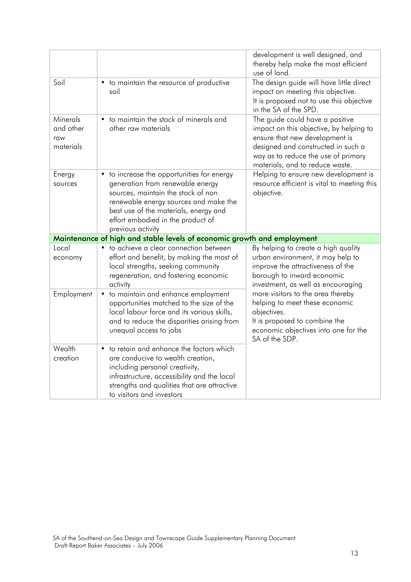|                                                  |                                                                                                                                                                                                                                                                  | development is well designed, and<br>thereby help make the most efficient<br>use of land.                                                                                                                                    |
|--------------------------------------------------|------------------------------------------------------------------------------------------------------------------------------------------------------------------------------------------------------------------------------------------------------------------|------------------------------------------------------------------------------------------------------------------------------------------------------------------------------------------------------------------------------|
| Soil                                             | • to maintain the resource of productive<br>soil                                                                                                                                                                                                                 | The design guide will have little direct<br>impact on meeting this objective.<br>It is proposed not to use this objective<br>in the SA of the SPD.                                                                           |
| <b>Minerals</b><br>and other<br>raw<br>materials | to maintain the stock of minerals and<br>$\bullet$<br>other raw materials                                                                                                                                                                                        | The quide could have a positive<br>impact on this objective, by helping to<br>ensure that new development is<br>designed and constructed in such a<br>way as to reduce the use of primary<br>materials, and to reduce waste. |
| Energy<br>sources                                | • to increase the opportunities for energy<br>generation from renewable energy<br>sources, maintain the stock of non<br>renewable energy sources and make the<br>best use of the materials, energy and<br>effort embodied in the product of<br>previous activity | Helping to ensure new development is<br>resource efficient is vital to meeting this<br>objective.                                                                                                                            |
|                                                  | Maintenance of high and stable levels of economic growth and employment                                                                                                                                                                                          |                                                                                                                                                                                                                              |
| Local<br>economy                                 | to achieve a clear connection between<br>effort and benefit, by making the most of<br>local strengths, seeking community<br>regeneration, and fostering economic<br>activity                                                                                     | By helping to create a high quality<br>urban environment, it may help to<br>improve the attractiveness of the<br>borough to inward economic<br>investment, as well as encouraging                                            |
| Employment                                       | • to maintain and enhance employment<br>opportunities matched to the size of the<br>local labour force and its various skills,<br>and to reduce the disparities arising from<br>unequal access to jobs                                                           | more visitors to the area thereby<br>helping to meet these economic<br>objectives.<br>It is proposed to combine the<br>economic objectives into one for the<br>SA of the SDP.                                                |
| Wealth<br>creation                               | to retain and enhance the factors which<br>are conducive to wealth creation,<br>including personal creativity,<br>infrastructure, accessibility and the local<br>strengths and qualities that are attractive<br>to visitors and investors                        |                                                                                                                                                                                                                              |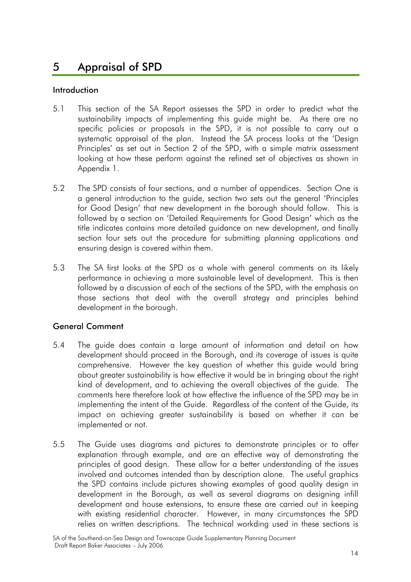# 5 Appraisal of SPD

#### Introduction

- 5.1 This section of the SA Report assesses the SPD in order to predict what the sustainability impacts of implementing this guide might be. As there are no specific policies or proposals in the SPD, it is not possible to carry out a systematic appraisal of the plan. Instead the SA process looks at the 'Design Principles' as set out in Section 2 of the SPD, with a simple matrix assessment looking at how these perform against the refined set of objectives as shown in Appendix 1.
- 5.2 The SPD consists of four sections, and a number of appendices. Section One is a general introduction to the guide, section two sets out the general 'Principles for Good Design' that new development in the borough should follow. This is followed by a section on 'Detailed Requirements for Good Design' which as the title indicates contains more detailed guidance on new development, and finally section four sets out the procedure for submitting planning applications and ensuring design is covered within them.
- 5.3 The SA first looks at the SPD as a whole with general comments on its likely performance in achieving a more sustainable level of development. This is then followed by a discussion of each of the sections of the SPD, with the emphasis on those sections that deal with the overall strategy and principles behind development in the borough.

#### General Comment

- 5.4 The guide does contain a large amount of information and detail on how development should proceed in the Borough, and its coverage of issues is quite comprehensive. However the key question of whether this guide would bring about greater sustainability is how effective it would be in bringing about the right kind of development, and to achieving the overall objectives of the guide. The comments here therefore look at how effective the influence of the SPD may be in implementing the intent of the Guide. Regardless of the content of the Guide, its impact on achieving greater sustainability is based on whether it can be implemented or not.
- 5.5 The Guide uses diagrams and pictures to demonstrate principles or to offer explanation through example, and are an effective way of demonstrating the principles of good design. These allow for a better understanding of the issues involved and outcomes intended than by description alone. The useful graphics the SPD contains include pictures showing examples of good quality design in development in the Borough, as well as several diagrams on designing infill development and house extensions, to ensure these are carried out in keeping with existing residential character. However, in many circumstances the SPD relies on written descriptions. The technical workding used in these sections is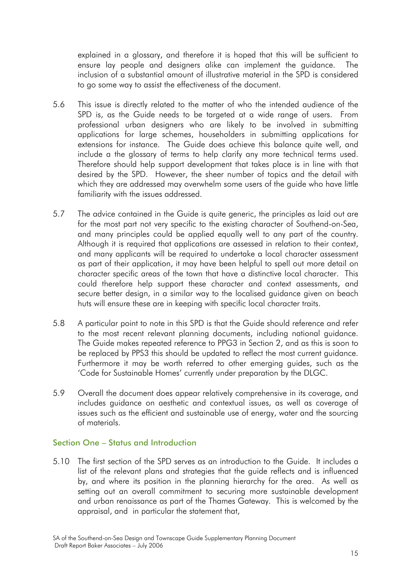explained in a glossary, and therefore it is hoped that this will be sufficient to ensure lay people and designers alike can implement the guidance. The inclusion of a substantial amount of illustrative material in the SPD is considered to go some way to assist the effectiveness of the document.

- 5.6 This issue is directly related to the matter of who the intended audience of the SPD is, as the Guide needs to be targeted at a wide range of users. From professional urban designers who are likely to be involved in submitting applications for large schemes, householders in submitting applications for extensions for instance. The Guide does achieve this balance quite well, and include a the glossary of terms to help clarify any more technical terms used. Therefore should help support development that takes place is in line with that desired by the SPD. However, the sheer number of topics and the detail with which they are addressed may overwhelm some users of the guide who have little familiarity with the issues addressed.
- 5.7 The advice contained in the Guide is quite generic, the principles as laid out are for the most part not very specific to the existing character of Southend-on-Sea, and many principles could be applied equally well to any part of the country. Although it is required that applications are assessed in relation to their context, and many applicants will be required to undertake a local character assessment as part of their application, it may have been helpful to spell out more detail on character specific areas of the town that have a distinctive local character. This could therefore help support these character and context assessments, and secure better design, in a similar way to the localised guidance given on beach huts will ensure these are in keeping with specific local character traits.
- 5.8 A particular point to note in this SPD is that the Guide should reference and refer to the most recent relevant planning documents, including national guidance. The Guide makes repeated reference to PPG3 in Section 2, and as this is soon to be replaced by PPS3 this should be updated to reflect the most current guidance. Furthermore it may be worth referred to other emerging guides, such as the 'Code for Sustainable Homes' currently under preparation by the DLGC.
- 5.9 Overall the document does appear relatively comprehensive in its coverage, and includes guidance on aesthetic and contextual issues, as well as coverage of issues such as the efficient and sustainable use of energy, water and the sourcing of materials.

#### Section One – Status and Introduction

5.10 The first section of the SPD serves as an introduction to the Guide. It includes a list of the relevant plans and strategies that the guide reflects and is influenced by, and where its position in the planning hierarchy for the area. As well as setting out an overall commitment to securing more sustainable development and urban renaissance as part of the Thames Gateway. This is welcomed by the appraisal, and in particular the statement that,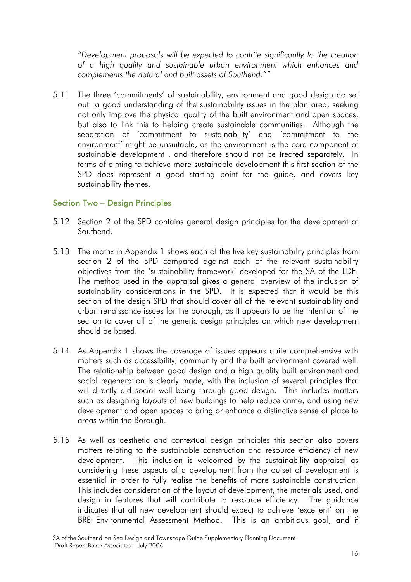*"Development proposals will be expected to contrite significantly to the creation of a high quality and sustainable urban environment which enhances and complements the natural and built assets of Southend.""* 

5.11 The three 'commitments' of sustainability, environment and good design do set out a good understanding of the sustainability issues in the plan area, seeking not only improve the physical quality of the built environment and open spaces, but also to link this to helping create sustainable communities. Although the separation of 'commitment to sustainability' and 'commitment to the environment' might be unsuitable, as the environment is the core component of sustainable development , and therefore should not be treated separately. In terms of aiming to achieve more sustainable development this first section of the SPD does represent a good starting point for the quide, and covers key sustainability themes.

#### Section Two – Design Principles

- 5.12 Section 2 of the SPD contains general design principles for the development of Southend.
- 5.13 The matrix in Appendix 1 shows each of the five key sustainability principles from section 2 of the SPD compared against each of the relevant sustainability objectives from the 'sustainability framework' developed for the SA of the LDF. The method used in the appraisal gives a general overview of the inclusion of sustainability considerations in the SPD. It is expected that it would be this section of the design SPD that should cover all of the relevant sustainability and urban renaissance issues for the borough, as it appears to be the intention of the section to cover all of the generic design principles on which new development should be based.
- 5.14 As Appendix 1 shows the coverage of issues appears quite comprehensive with matters such as accessibility, community and the built environment covered well. The relationship between good design and a high quality built environment and social regeneration is clearly made, with the inclusion of several principles that will directly aid social well being through good design. This includes matters such as designing layouts of new buildings to help reduce crime, and using new development and open spaces to bring or enhance a distinctive sense of place to areas within the Borough.
- 5.15 As well as aesthetic and contextual design principles this section also covers matters relating to the sustainable construction and resource efficiency of new development. This inclusion is welcomed by the sustainability appraisal as considering these aspects of a development from the outset of development is essential in order to fully realise the benefits of more sustainable construction. This includes consideration of the layout of development, the materials used, and design in features that will contribute to resource efficiency. The guidance indicates that all new development should expect to achieve 'excellent' on the BRE Environmental Assessment Method. This is an ambitious goal, and if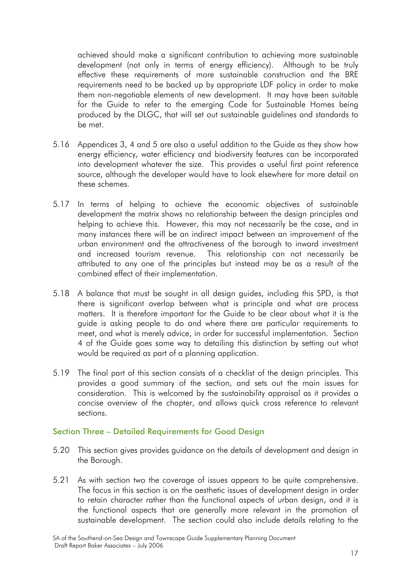achieved should make a significant contribution to achieving more sustainable development (not only in terms of energy efficiency). Although to be truly effective these requirements of more sustainable construction and the BRE requirements need to be backed up by appropriate LDF policy in order to make them non-negotiable elements of new development. It may have been suitable for the Guide to refer to the emerging Code for Sustainable Homes being produced by the DLGC, that will set out sustainable guidelines and standards to be met.

- 5.16 Appendices 3, 4 and 5 are also a useful addition to the Guide as they show how energy efficiency, water efficiency and biodiversity features can be incorporated into development whatever the size. This provides a useful first point reference source, although the developer would have to look elsewhere for more detail on these schemes.
- 5.17 In terms of helping to achieve the economic objectives of sustainable development the matrix shows no relationship between the design principles and helping to achieve this. However, this may not necessarily be the case, and in many instances there will be an indirect impact between an improvement of the urban environment and the attractiveness of the borough to inward investment and increased tourism revenue. This relationship can not necessarily be attributed to any one of the principles but instead may be as a result of the combined effect of their implementation.
- 5.18 A balance that must be sought in all design guides, including this SPD, is that there is significant overlap between what is principle and what are process matters. It is therefore important for the Guide to be clear about what it is the guide is asking people to do and where there are particular requirements to meet, and what is merely advice, in order for successful implementation. Section 4 of the Guide goes some way to detailing this distinction by setting out what would be required as part of a planning application.
- 5.19 The final part of this section consists of a checklist of the design principles. This provides a good summary of the section, and sets out the main issues for consideration. This is welcomed by the sustainability appraisal as it provides a concise overview of the chapter, and allows quick cross reference to relevant sections.

#### Section Three – Detailed Requirements for Good Design

- 5.20 This section gives provides guidance on the details of development and design in the Borough.
- 5.21 As with section two the coverage of issues appears to be quite comprehensive. The focus in this section is on the aesthetic issues of development design in order to retain character rather than the functional aspects of urban design, and it is the functional aspects that are generally more relevant in the promotion of sustainable development. The section could also include details relating to the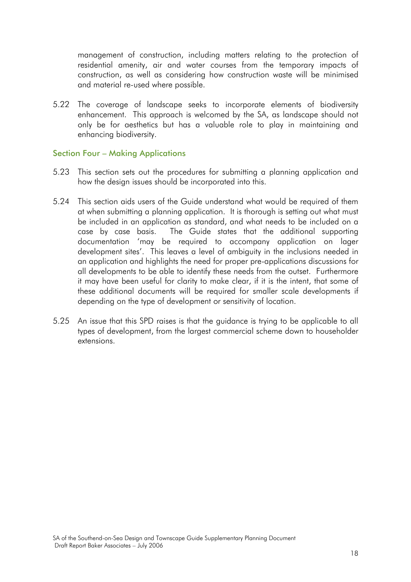management of construction, including matters relating to the protection of residential amenity, air and water courses from the temporary impacts of construction, as well as considering how construction waste will be minimised and material re-used where possible.

5.22 The coverage of landscape seeks to incorporate elements of biodiversity enhancement. This approach is welcomed by the SA, as landscape should not only be for aesthetics but has a valuable role to play in maintaining and enhancing biodiversity.

#### Section Four – Making Applications

- 5.23 This section sets out the procedures for submitting a planning application and how the design issues should be incorporated into this.
- 5.24 This section aids users of the Guide understand what would be required of them at when submitting a planning application. It is thorough is setting out what must be included in an application as standard, and what needs to be included on a case by case basis. The Guide states that the additional supporting documentation 'may be required to accompany application on lager development sites'. This leaves a level of ambiguity in the inclusions needed in an application and highlights the need for proper pre-applications discussions for all developments to be able to identify these needs from the outset. Furthermore it may have been useful for clarity to make clear, if it is the intent, that some of these additional documents will be required for smaller scale developments if depending on the type of development or sensitivity of location.
- 5.25 An issue that this SPD raises is that the guidance is trying to be applicable to all types of development, from the largest commercial scheme down to householder extensions.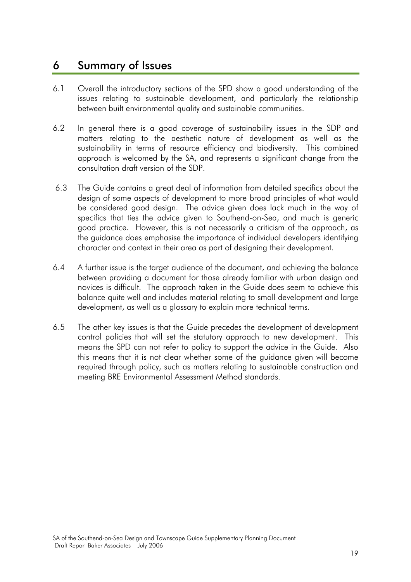## 6 Summary of Issues

- 6.1 Overall the introductory sections of the SPD show a good understanding of the issues relating to sustainable development, and particularly the relationship between built environmental quality and sustainable communities.
- 6.2 In general there is a good coverage of sustainability issues in the SDP and matters relating to the aesthetic nature of development as well as the sustainability in terms of resource efficiency and biodiversity. This combined approach is welcomed by the SA, and represents a significant change from the consultation draft version of the SDP.
- 6.3 The Guide contains a great deal of information from detailed specifics about the design of some aspects of development to more broad principles of what would be considered good design. The advice given does lack much in the way of specifics that ties the advice given to Southend-on-Sea, and much is generic good practice. However, this is not necessarily a criticism of the approach, as the guidance does emphasise the importance of individual developers identifying character and context in their area as part of designing their development.
- 6.4 A further issue is the target audience of the document, and achieving the balance between providing a document for those already familiar with urban design and novices is difficult. The approach taken in the Guide does seem to achieve this balance quite well and includes material relating to small development and large development, as well as a glossary to explain more technical terms.
- 6.5 The other key issues is that the Guide precedes the development of development control policies that will set the statutory approach to new development. This means the SPD can not refer to policy to support the advice in the Guide. Also this means that it is not clear whether some of the guidance given will become required through policy, such as matters relating to sustainable construction and meeting BRE Environmental Assessment Method standards.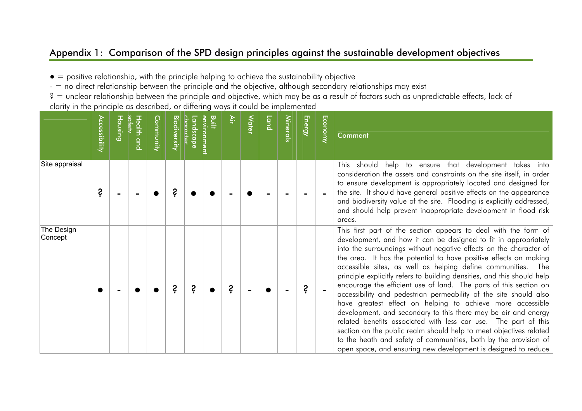## Appendix 1: Comparison of the SPD design principles against the sustainable development objectives

 $\bullet$  = positive relationship, with the principle helping to achieve the sustainability objective

- = no direct relationship between the principle and the objective, although secondary relationships may exist

? = unclear relationship between the principle and objective, which may be as a result of factors such as unpredictable effects, lack of clarity in the principle as described, or differing ways it could be implemented

|                       | <b>Accessibility</b> | <b>A</b> | <b>Health</b> and | Community | Biodiversi <del>t</del> y | andscape<br>haracte | Built<br><u>environmen</u> | ξ. | <b>Water</b> | Land | <b>Minerals</b> | <b>Energy</b> | Economy | <b>Comment</b>                                                                                                                                                                                                                                                                                                                                                                                                                                                                                                                                                                                                                                                                                                                                                                                                                                                                                                                                                                    |
|-----------------------|----------------------|----------|-------------------|-----------|---------------------------|---------------------|----------------------------|----|--------------|------|-----------------|---------------|---------|-----------------------------------------------------------------------------------------------------------------------------------------------------------------------------------------------------------------------------------------------------------------------------------------------------------------------------------------------------------------------------------------------------------------------------------------------------------------------------------------------------------------------------------------------------------------------------------------------------------------------------------------------------------------------------------------------------------------------------------------------------------------------------------------------------------------------------------------------------------------------------------------------------------------------------------------------------------------------------------|
| Site appraisal        | Ŝ                    |          |                   |           | S                         |                     |                            |    |              |      |                 |               |         | help to ensure that development takes into<br>This should<br>consideration the assets and constraints on the site itself, in order<br>to ensure development is appropriately located and designed for<br>the site. It should have general positive effects on the appearance<br>and biodiversity value of the site. Flooding is explicitly addressed,<br>and should help prevent inappropriate development in flood risk<br>areas.                                                                                                                                                                                                                                                                                                                                                                                                                                                                                                                                                |
| The Design<br>Concept |                      |          |                   |           | S                         | Ŝ.                  |                            | Ś. |              |      |                 | Ŝ.            |         | This first part of the section appears to deal with the form of<br>development, and how it can be designed to fit in appropriately<br>into the surroundings without negative effects on the character of<br>the area. It has the potential to have positive effects on making<br>accessible sites, as well as helping define communities. The<br>principle explicitly refers to building densities, and this should help<br>encourage the efficient use of land. The parts of this section on<br>accessibility and pedestrian permeability of the site should also<br>have greatest effect on helping to achieve more accessible<br>development, and secondary to this there may be air and energy<br>related benefits associated with less car use. The part of this<br>section on the public realm should help to meet objectives related<br>to the heath and safety of communities, both by the provision of<br>open space, and ensuring new development is designed to reduce |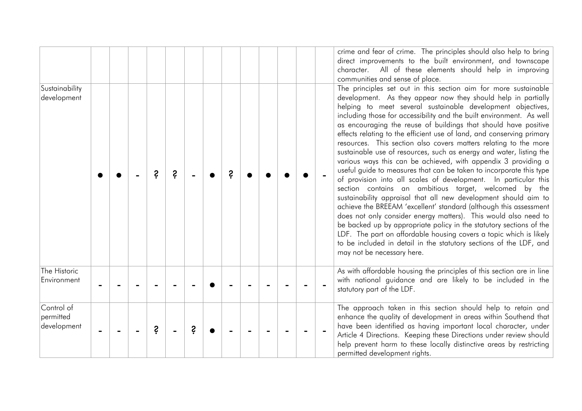| Sustainability<br>development          |  | Ŝ | Ŝ. |   | Ś. |  |  | crime and fear of crime. The principles should also help to bring<br>direct improvements to the built environment, and townscape<br>character. All of these elements should help in improving<br>communities and sense of place.<br>The principles set out in this section aim for more sustainable<br>development. As they appear now they should help in partially<br>helping to meet several sustainable development objectives,<br>including those for accessibility and the built environment. As well<br>as encouraging the reuse of buildings that should have positive<br>effects relating to the efficient use of land, and conserving primary<br>resources. This section also covers matters relating to the more<br>sustainable use of resources, such as energy and water, listing the<br>various ways this can be achieved, with appendix 3 providing a<br>useful guide to measures that can be taken to incorporate this type<br>of provision into all scales of development. In particular this<br>section contains an ambitious target, welcomed by the<br>sustainability appraisal that all new development should aim to<br>achieve the BREEAM 'excellent' standard (although this assessment<br>does not only consider energy matters). This would also need to<br>be backed up by appropriate policy in the statutory sections of the<br>LDF. The part on affordable housing covers a topic which is likely<br>to be included in detail in the statutory sections of the LDF, and<br>may not be necessary here. |
|----------------------------------------|--|---|----|---|----|--|--|-------------------------------------------------------------------------------------------------------------------------------------------------------------------------------------------------------------------------------------------------------------------------------------------------------------------------------------------------------------------------------------------------------------------------------------------------------------------------------------------------------------------------------------------------------------------------------------------------------------------------------------------------------------------------------------------------------------------------------------------------------------------------------------------------------------------------------------------------------------------------------------------------------------------------------------------------------------------------------------------------------------------------------------------------------------------------------------------------------------------------------------------------------------------------------------------------------------------------------------------------------------------------------------------------------------------------------------------------------------------------------------------------------------------------------------------------------------------------------------------------------------------------------------|
| The Historic<br>Environment            |  |   |    |   |    |  |  | As with affordable housing the principles of this section are in line<br>with national guidance and are likely to be included in the<br>statutory part of the LDF.                                                                                                                                                                                                                                                                                                                                                                                                                                                                                                                                                                                                                                                                                                                                                                                                                                                                                                                                                                                                                                                                                                                                                                                                                                                                                                                                                                  |
| Control of<br>permitted<br>development |  | Ŝ |    | Ŝ |    |  |  | The approach taken in this section should help to retain and<br>enhance the quality of development in areas within Southend that<br>have been identified as having important local character, under<br>Article 4 Directions. Keeping these Directions under review should<br>help prevent harm to these locally distinctive areas by restricting<br>permitted development rights.                                                                                                                                                                                                                                                                                                                                                                                                                                                                                                                                                                                                                                                                                                                                                                                                                                                                                                                                                                                                                                                                                                                                                   |